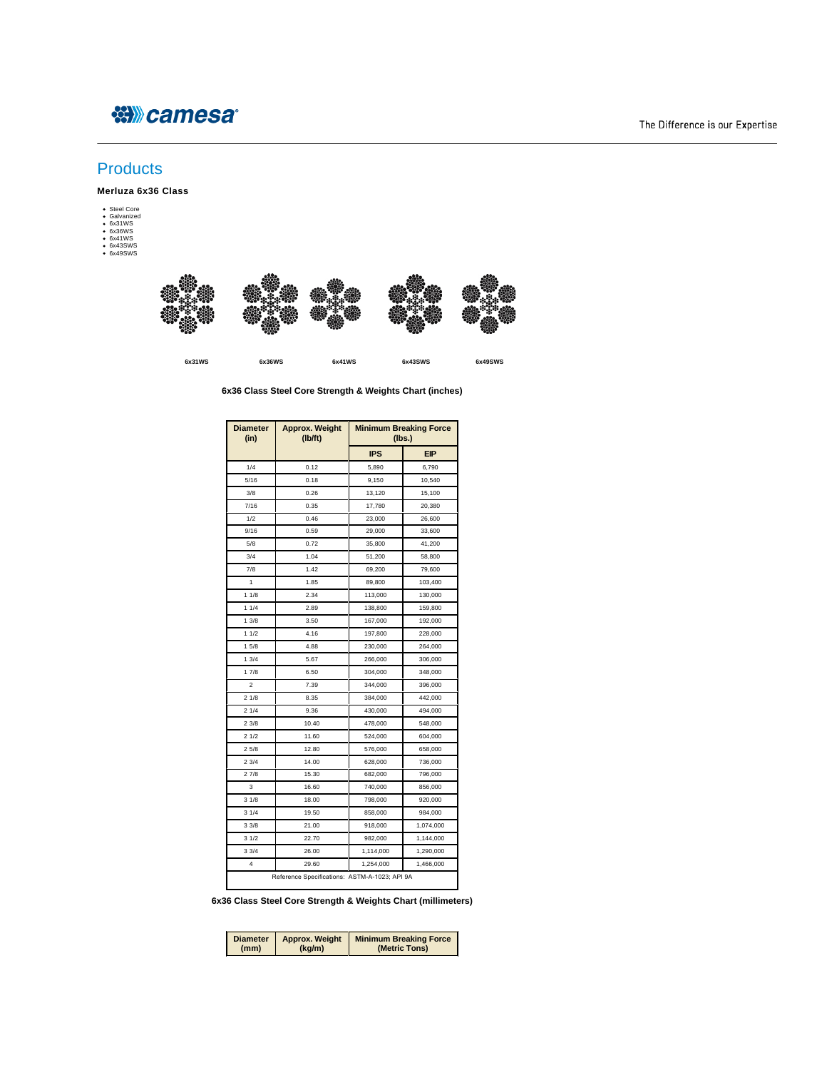## ※Weamesa®

## The Difference is our Expertise

## **Products**

**Merluza 6x36 Class**

Steel Core Galvanized 6x31WS 6x36WS 6x41WS 6x43SWS 6x49SWS

**6x31WS 6x36WS 6x41WS 6x43SWS 6x49SWS**

## **6x36 Class Steel Core Strength & Weights Chart (inches)**

| <b>Diameter</b><br>(in) | <b>Approx. Weight</b><br>(Ib/ft)              | <b>Minimum Breaking Force</b><br>(Ibs.) |            |
|-------------------------|-----------------------------------------------|-----------------------------------------|------------|
|                         |                                               | <b>IPS</b>                              | <b>EIP</b> |
| 1/4                     | 0.12                                          | 5,890                                   | 6,790      |
| 5/16                    | 0.18                                          | 9,150                                   | 10,540     |
| 3/8                     | 0.26                                          | 13,120                                  | 15,100     |
| 7/16                    | 0.35                                          | 17,780                                  | 20,380     |
| 1/2                     | 0.46                                          | 23,000                                  | 26,600     |
| 9/16                    | 0.59                                          | 29,000                                  | 33,600     |
| 5/8                     | 0.72                                          | 35,800                                  | 41,200     |
| 3/4                     | 1.04                                          | 51,200                                  | 58,800     |
| 7/8                     | 1.42                                          | 69,200                                  | 79,600     |
| 1                       | 1.85                                          | 89,800                                  | 103,400    |
| 11/8                    | 2.34                                          | 113,000                                 | 130,000    |
| 11/4                    | 2.89                                          | 138,800                                 | 159,800    |
| 13/8                    | 3.50                                          | 167,000                                 | 192,000    |
| 11/2                    | 4.16                                          | 197,800                                 | 228,000    |
| 15/8                    | 4.88                                          | 230,000                                 | 264,000    |
| 13/4                    | 5.67                                          | 266,000                                 | 306,000    |
| 17/8                    | 6.50                                          | 304,000                                 | 348,000    |
| $\overline{2}$          | 7.39                                          | 344,000                                 | 396,000    |
| 21/8                    | 8.35                                          | 384,000                                 | 442,000    |
| 21/4                    | 9.36                                          | 430,000                                 | 494,000    |
| 23/8                    | 10.40                                         | 478,000                                 | 548,000    |
| 21/2                    | 11.60                                         | 524,000                                 | 604,000    |
| 25/8                    | 12.80                                         | 576,000                                 | 658,000    |
| 23/4                    | 14.00                                         | 628,000                                 | 736,000    |
| 27/8                    | 15.30                                         | 682,000                                 | 796,000    |
| 3                       | 16.60                                         | 740,000                                 | 856,000    |
| 31/8                    | 18.00                                         | 798,000                                 | 920,000    |
| 31/4                    | 19.50                                         | 858,000                                 | 984,000    |
| 33/8                    | 21.00                                         | 918,000                                 | 1,074,000  |
| 31/2                    | 22.70                                         | 982,000                                 | 1,144,000  |
| 33/4                    | 26.00                                         | 1,114,000                               | 1,290,000  |
| 4                       | 29.60                                         | 1,254,000                               | 1,466,000  |
|                         | Reference Specifications: ASTM-A-1023; API 9A |                                         |            |

**6x36 Class Steel Core Strength & Weights Chart (millimeters)**

| (mm) | (kg/m) | Diameter   Approx. Weight   Minimum Breaking Force<br>(Metric Tons) |
|------|--------|---------------------------------------------------------------------|
|      |        |                                                                     |